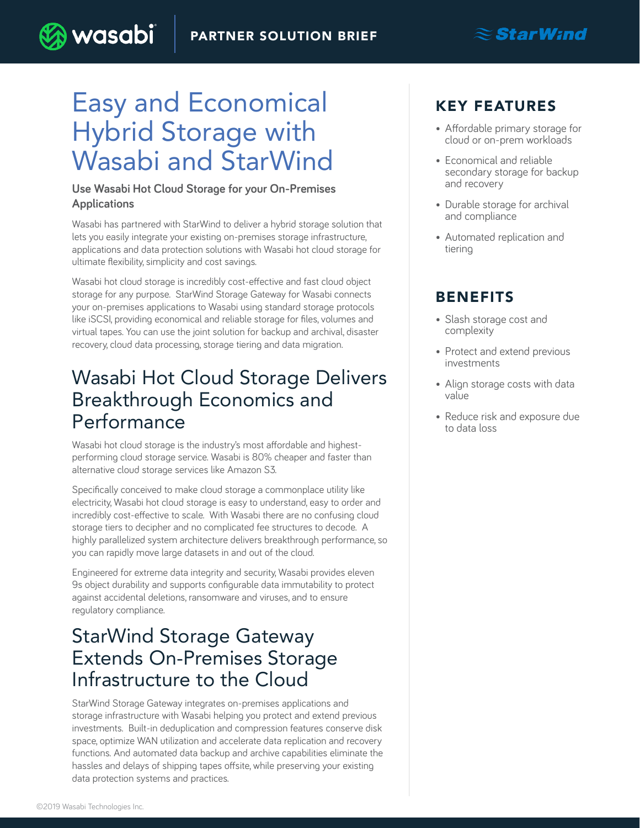# Easy and Economical Hybrid Storage with Wasabi and StarWind

) wasabi

#### **Use Wasabi Hot Cloud Storage for your On-Premises Applications**

Wasabi has partnered with StarWind to deliver a hybrid storage solution that lets you easily integrate your existing on-premises storage infrastructure, applications and data protection solutions with Wasabi hot cloud storage for ultimate flexibility, simplicity and cost savings.

Wasabi hot cloud storage is incredibly cost-effective and fast cloud object storage for any purpose. StarWind Storage Gateway for Wasabi connects your on-premises applications to Wasabi using standard storage protocols like iSCSI, providing economical and reliable storage for files, volumes and virtual tapes. You can use the joint solution for backup and archival, disaster recovery, cloud data processing, storage tiering and data migration.

### Wasabi Hot Cloud Storage Delivers Breakthrough Economics and Performance

Wasabi hot cloud storage is the industry's most affordable and highestperforming cloud storage service. Wasabi is 80% cheaper and faster than alternative cloud storage services like Amazon S3.

Specifically conceived to make cloud storage a commonplace utility like electricity, Wasabi hot cloud storage is easy to understand, easy to order and incredibly cost-effective to scale. With Wasabi there are no confusing cloud storage tiers to decipher and no complicated fee structures to decode. A highly parallelized system architecture delivers breakthrough performance, so you can rapidly move large datasets in and out of the cloud.

Engineered for extreme data integrity and security, Wasabi provides eleven 9s object durability and supports configurable data immutability to protect against accidental deletions, ransomware and viruses, and to ensure regulatory compliance.

### StarWind Storage Gateway Extends On-Premises Storage Infrastructure to the Cloud

StarWind Storage Gateway integrates on-premises applications and storage infrastructure with Wasabi helping you protect and extend previous investments. Built-in deduplication and compression features conserve disk space, optimize WAN utilization and accelerate data replication and recovery functions. And automated data backup and archive capabilities eliminate the hassles and delays of shipping tapes offsite, while preserving your existing data protection systems and practices.

### KEY FEATURES

• Affordable primary storage for cloud or on-prem workloads

 $\mathbf{\approx}$ StarWind

- Economical and reliable secondary storage for backup and recovery
- Durable storage for archival and compliance
- Automated replication and tiering

### BENEFITS

- Slash storage cost and complexity
- Protect and extend previous investments
- Align storage costs with data value
- Reduce risk and exposure due to data loss